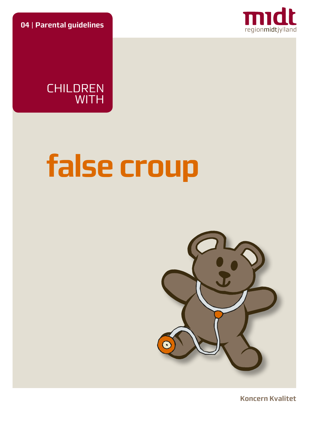**04** | **Parental guidelines**



CHILDREN WITH

# **false croup**



**Koncern Kvalitet**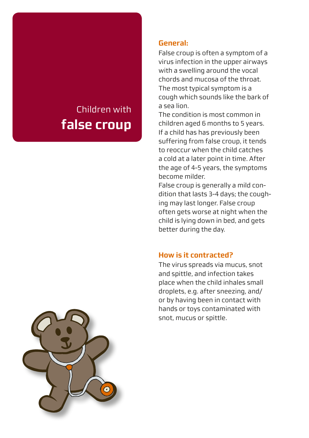# Children with **false croup**

#### **General:**

False croup is often a symptom of a virus infection in the upper airways with a swelling around the vocal chords and mucosa of the throat. The most typical symptom is a cough which sounds like the bark of a sea lion.

The condition is most common in children aged 6 months to 5 years. If a child has has previously been suffering from false croup, it tends to reoccur when the child catches a cold at a later point in time. After the age of 4-5 years, the symptoms become milder.

False croup is generally a mild condition that lasts 3-4 days; the coughing may last longer. False croup often gets worse at night when the child is lying down in bed, and gets better during the day.

#### **How is it contracted?**

The virus spreads via mucus, snot and spittle, and infection takes place when the child inhales small droplets, e.g. after sneezing, and/ or by having been in contact with hands or toys contaminated with snot, mucus or spittle.

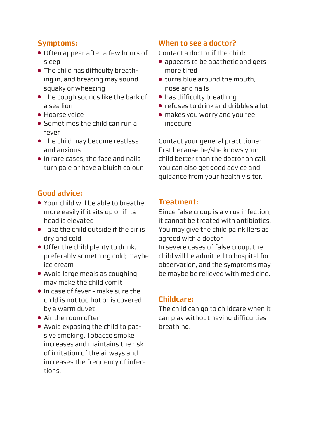# **Symptoms:**

- Often appear after a few hours of sleep
- The child has difficulty breathing in, and breating may sound squaky or wheezing
- The cough sounds like the bark of a sea lion
- Hoarse voice
- Sometimes the child can run a fever
- The child may become restless and anxious
- In rare cases, the face and nails turn pale or have a bluish colour.

# **Good advice:**

- Your child will be able to breathe more easily if it sits up or if its head is elevated
- Take the child outside if the air is dry and cold
- Offer the child plenty to drink, preferably something cold; maybe ice cream
- Avoid large meals as coughing may make the child vomit
- In case of fever make sure the child is not too hot or is covered by a warm duvet
- Air the room often
- Avoid exposing the child to passive smoking. Tobacco smoke increases and maintains the risk of irritation of the airways and increases the frequency of infections.

# **When to see a doctor?**

Contact a doctor if the child:

- appears to be apathetic and gets more tired
- turns blue around the mouth, nose and nails
- has difficulty breathing
- refuses to drink and dribbles a lot
- makes you worry and you feel insecure

Contact your general practitioner first because he/she knows your child better than the doctor on call. You can also get good advice and guidance from your health visitor.

#### **Treatment:**

Since false croup is a virus infection, it cannot be treated with antibiotics. You may give the child painkillers as agreed with a doctor.

In severe cases of false croup, the child will be admitted to hospital for observation, and the symptoms may be maybe be relieved with medicine.

#### **Childcare:**

The child can go to childcare when it can play without having difficulties breathing.